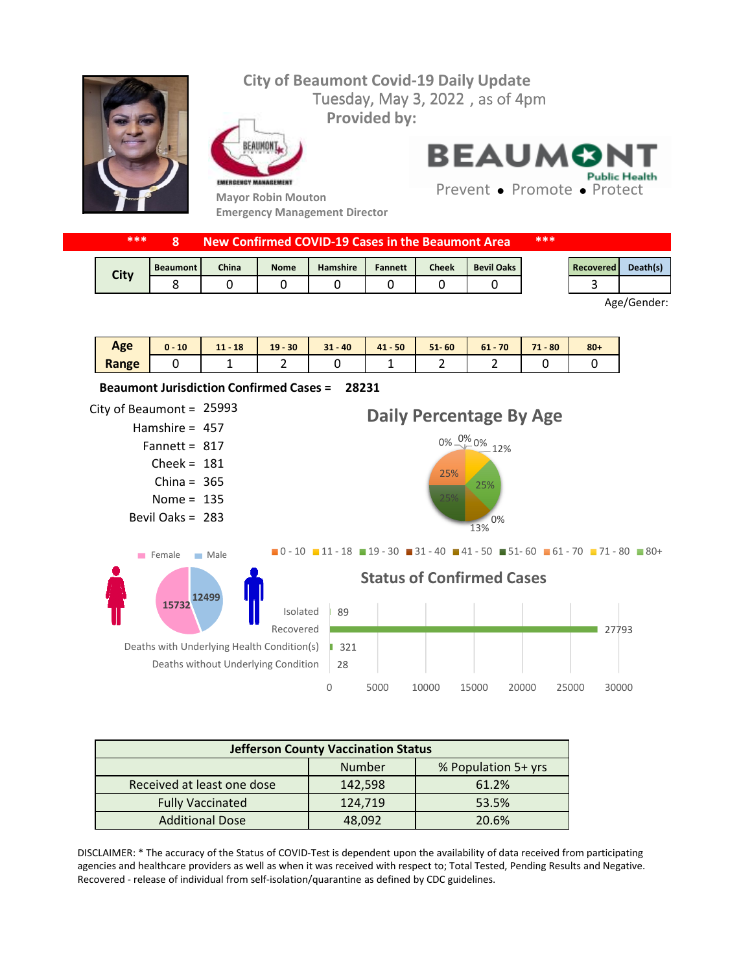## Tuesday, May 3, 2022, as of 4pm **City of Beaumont Covid-19 Daily Update Provided by:**



FAIIMON EMERGENCY MANAGEMENT

**Mayor Robin Mouton Emergency Management Director** **BEAUMONT Public Health** 

Prevent • Promote • Protect

|  | ***<br>New Confirmed COVID-19 Cases in the Beaumont Area |                 |              |             |                 | ***            |       |                   |  |           |          |
|--|----------------------------------------------------------|-----------------|--------------|-------------|-----------------|----------------|-------|-------------------|--|-----------|----------|
|  | <b>City</b>                                              | <b>Beaumont</b> | <b>China</b> | <b>Nome</b> | <b>Hamshire</b> | <b>Fannett</b> | Cheek | <b>Bevil Oaks</b> |  | Recovered | Death(s) |
|  |                                                          |                 |              |             |                 |                |       |                   |  |           |          |

Age/Gender:

| Age   | 10<br>$\mathbf{0}$ - | 18<br>111<br>- 11 | $19 - 30$ | $31 - 40$ | $41 - 50$ | $51 - 60$ | $61 - 70$ | 71<br>$-80$ | $80 +$ |
|-------|----------------------|-------------------|-----------|-----------|-----------|-----------|-----------|-------------|--------|
| Range |                      |                   | -         |           | -         | -         |           |             |        |



| <b>Jefferson County Vaccination Status</b> |         |                     |  |  |  |  |
|--------------------------------------------|---------|---------------------|--|--|--|--|
|                                            | Number  | % Population 5+ yrs |  |  |  |  |
| Received at least one dose                 | 142,598 | 61.2%               |  |  |  |  |
| <b>Fully Vaccinated</b>                    | 124,719 | 53.5%               |  |  |  |  |
| <b>Additional Dose</b>                     | 48,092  | 20.6%               |  |  |  |  |

DISCLAIMER: \* The accuracy of the Status of COVID-Test is dependent upon the availability of data received from participating agencies and healthcare providers as well as when it was received with respect to; Total Tested, Pending Results and Negative. Recovered - release of individual from self-isolation/quarantine as defined by CDC guidelines.